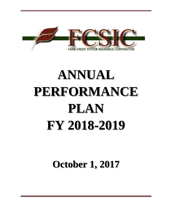

# **ANNUAL PERFORMANCE PLAN FY 2018-2019**

**October 1, 2017**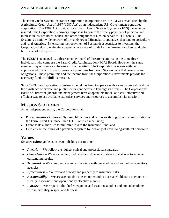The Farm Credit System Insurance Corporation (Corporation or FCSIC) was established by the Agricultural Credit Act of 1987 (1987 Act) as an independent U.S. Government-controlled corporation. The 1987 Act provided for all Farm Credit System (System or FCS) banks to be insured. The Corporation's primary purpose is to ensure the timely payment of principal and interest on insured notes, bonds, and other obligations issued on behalf of FCS banks. The System is a nationwide network of privately owned financial cooperatives that lend to agriculture and rural America. By ensuring the repayment of System debt securities to investors, the Corporation helps to maintain a dependable source of funds for the farmers, ranchers, and other borrowers of the System.

The FCSIC is managed by a three-member board of directors comprising the same three individuals who compose the Farm Credit Administration (FCA) Board. However, the same member may not serve as chairman of both entities. The Corporation operates with no appropriated funds. It collects insurance premiums from each System bank that issues insured obligations. These premiums and the income from the Corporation's investments provide the necessary funds to fulfill its mission.

Since 1993, the Corporation's business model has been to operate with a small core staff and use the assistance of private and public sector contractors to leverage its efforts. The Corporation's Board of Directors (Board) and management have adopted this model as a cost-effective and efficient way to use available expertise, services and resources to accomplish its mission.

# **MISSION STATEMENT**

As an independent entity, the Corporation shall:

- Protect investors in insured System obligations and taxpayers through sound administration of the Farm Credit Insurance Fund (FCIF or Insurance Fund);
- Exercise its authorities to minimize loss to the Insurance Fund; and
- Help ensure the future of a permanent system for delivery of credit to agricultural borrowers.

# **Values**

Six *core values* guide us in accomplishing our mission:

- *Integrity* -- We follow the highest ethical and professional standards.
- *Competence* -- We are a skilled, dedicated and diverse workforce that strives to achieve outstanding results.
- *Teamwork* -- We communicate and collaborate with one another and with other regulatory agencies.
- *Effectiveness* -- We respond quickly and prudently to insurance risks.
- *Accountability* -- We are accountable to each other and to our stakeholders to operate in a fiscally responsible and operationally effective manner.
- *Fairness* -- We respect individual viewpoints and treat one another and our stakeholders with impartiality, respect and fairness.

1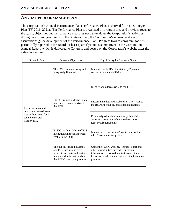# **ANNUAL PERFORMANCE PLAN**

The Corporation's Annual Performance Plan (Performance Plan) is derived from its Strategic Plan (FY 2016–2021). The Performance Plan is organized by program area and provides focus to the goals, objectives and performance measures used to evaluate the Corporation's activities during the current year. As with the Strategic Plan, the Corporation's mission and key assumptions guide development of the Performance Plan. Progress towards program goals is periodically reported to the Board (at least quarterly) and is summarized in the Corporation's Annual Report, which is delivered to Congress and posted on the Corporation's website after the calendar year ends.

| Strategic Goal                                                                                                     | <b>Strategic Objectives</b>                                                                                                                                 | <b>High Priority Performance Goals</b>                                                                                                                                                                 |
|--------------------------------------------------------------------------------------------------------------------|-------------------------------------------------------------------------------------------------------------------------------------------------------------|--------------------------------------------------------------------------------------------------------------------------------------------------------------------------------------------------------|
| Investors in insured<br>debt are protected from<br>loss without need for a<br>joint and several<br>liability call. | The FCIF remains strong and<br>adequately financed.                                                                                                         | Maintain the FCIF at the statutory 2 percent<br>secure base amount (SBA).                                                                                                                              |
|                                                                                                                    | FCSIC promptly identifies and<br>responds to potential risks to<br>the FCIF.                                                                                | Identify and address risks to the FCIF.                                                                                                                                                                |
|                                                                                                                    |                                                                                                                                                             | Disseminate data and analyses on risk issues to<br>the Board, the public, and other stakeholders.                                                                                                      |
|                                                                                                                    |                                                                                                                                                             | Effectively administer temporary financial<br>assistance programs subject to the statutory<br>least-cost requirements.                                                                                 |
|                                                                                                                    | FCSIC resolves failure of FCS<br>institutions in the manner least<br>costly to the FCIF.                                                                    | Market failed institutions' assets in accordance<br>with Board approved policy.                                                                                                                        |
|                                                                                                                    | The public, insured investors<br>and FCS institutions have<br>access to accurate and easily<br>understood information about<br>the FCSIC insurance program. | Using the FCSIC website, Annual Report and<br>other opportunities, provide educational<br>information to insured institutions and their<br>investors to help them understand the insurance<br>program. |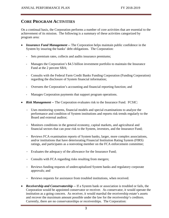# **CORE PROGRAM ACTIVITIES**

On a continual basis, the Corporation performs a number of core activities that are essential to the achievement of its mission. The following is a summary of these activities categorized by program area:

- *Insurance Fund Management --* The Corporation helps maintain public confidence in the System by insuring the banks' debt obligations. The Corporation:
	- Sets premium rates, collects and audits insurance premiums;
	- Manages the Corporation's \$4.5 billion investment portfolio to maintain the Insurance Fund at the 2 percent SBA;
	- Consults with the Federal Farm Credit Banks Funding Corporation (Funding Corporation) regarding the disclosure of System financial information;
	- Oversees the Corporation's accounting and financial reporting function; and
	- Manages Corporation payments that support program operations.
- *Risk Management --* The Corporation evaluates risk to the Insurance Fund. FCSIC:
	- Uses monitoring systems, financial models and special examinations to analyze the performance and condition of System institutions and reports risk trends regularly to the Board and external auditor;
	- Monitors conditions in the general economy, capital markets, and agricultural and financial sectors that can pose risk to the System, investors, and the Insurance Fund;
	- Reviews FCA examination reports of System banks, larger, more complex associations, and/or institutions that have deteriorating Financial Institution Rating System (FIRS) ratings, and participates as a nonvoting member on the FCA enforcement committee;
	- Evaluates the adequacy of the allowance for the Insurance Fund;
	- Consults with FCA regarding risks resulting from mergers;
	- Reviews funding requests of undercapitalized System banks and regulatory corporate approvals; and
	- Reviews requests for assistance from troubled institutions, when received.
- *Receivership and Conservatorship --* If a System bank or association is troubled or fails, the Corporation would be appointed conservator or receiver. As conservator, it would operate the institution as a going concern. As receiver, it would marshal the receivership estate's assets and recover the maximum amount possible under the law for the receivership's creditors. Currently, there are no conservatorships or receiverships. The Corporation: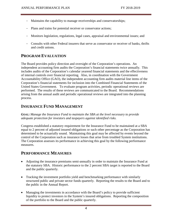- Maintains the capability to manage receiverships and conservatorships;
- Plans and trains for potential receiver or conservator actions;
- Monitors legislation, regulations, legal cases, appraisal and environmental issues; and
- Consults with other Federal insurers that serve as conservator or receiver of banks, thrifts and credit unions.

# **PROGRAM EVALUATION**

The Board provides policy direction and oversight of the Corporation's operations. An independent accounting firm audits the Corporation's financial statements twice annually. This includes audits of the Corporation's calendar yearend financial statements and the effectiveness of internal controls over financial reporting. Also, in coordination with the Government Accountability Office (GAO), the independent accounting firm audits material line items of the Corporation's financial statements for inclusion into the Combined Financial Statements of the United States Government. To evaluate program activities, periodic operational reviews are performed. The results of these reviews are communicated to the Board. Recommendations arising from the annual audit and periodic operational reviews are integrated into the planning process.

# **INSURANCE FUND MANAGEMENT**

*GOAL: Manage the Insurance Fund to maintain the SBA at the level necessary to provide adequate protection for investors and taxpayers against identified risks.*

Congress established a statutory requirement for the Insurance Fund to be maintained at a SBA equal to 2 percent of adjusted insured obligations or such other percentage as the Corporation has determined to be actuarially sound. Maintaining this goal may be affected by events beyond the control of the Corporation such as insurance losses that arise from troubled System institutions. The Corporation assesses its performance in achieving this goal by the following performance measures.

# **PERFORMANCE MEASURES**

- Adjusting the insurance premiums semi-annually in order to maintain the Insurance Fund at the statutory SBA. Historic performance to the 2 percent SBA target is reported to the Board and the public quarterly.
- Tracking the investment portfolio yield and benchmarking performance with similarly structured public and private sector funds quarterly. Reporting the results to the Board and to the public in the Annual Report.
- Managing the investments in accordance with the Board's policy to provide sufficient liquidity to protect investors in the System's insured obligations. Reporting the composition of the portfolio to the Board and the public quarterly.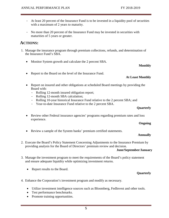- At least 20 percent of the Insurance Fund is to be invested in a liquidity pool of securities with a maximum of 2 years to maturity.
- No more than 20 percent of the Insurance Fund may be invested in securities with maturities of 5 years or greater.

# **ACTIONS:**

- 1. Manage the insurance program through premium collections, refunds, and determination of the Insurance Fund's SBA.
	- Monitor System growth and calculate the 2 percent SBA.

# **Monthly**

• Report to the Board on the level of the Insurance Fund.

## **At Least Monthly**

- Report on insured and other obligations at scheduled Board meetings by providing the Board with:
	- Rolling 12-month insured obligation report;
	- Rolling 12-month SBA calculation;
	- Rolling 10-year historical Insurance Fund relative to the 2 percent SBA; and
	- Year-to-date Insurance Fund relative to the 2 percent SBA.

## **Quarterly**

• Review other Federal insurance agencies' programs regarding premium rates and loss experience.

#### **Ongoing**

• Review a sample of the System banks' premium certified statements.

## **Annually**

2. Execute the Board's Policy Statement Concerning Adjustments to the Insurance Premium by providing analysis for the Board of Directors' premium review and decision.

## **June/September/January**

- 3. Manage the investment program to meet the requirements of the Board's policy statement and ensure adequate liquidity while optimizing investment returns.
	- Report results to the Board.

## **Quarterly**

- 4. Enhance the Corporation's investment program and modify as necessary.
	- Utilize investment intelligence sources such as Bloomberg, FedInvest and other tools.
	- Test performance benchmarks.
	- Promote training opportunities.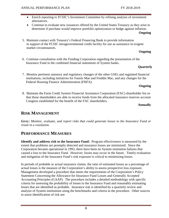- Enrich reporting to FCSIC's Investment Committee by refining analysis of investment alternatives.
- Continue to evaluate new issuances offered by the United States Treasury as they arise to determine if purchase would improve portfolio optimization or hedge against inflation.

5. Maintain contact with Treasury's Federal Financing Bank to provide information in support of the FCSIC intragovernmental credit facility for use as assistance in exigent market circumstances.

#### **Ongoing**

6. Continue consultation with the Funding Corporation regarding the presentation of the Insurance Fund in the combined financial statements of System banks.

## **Quarterly**

7. Monitor pertinent statutory and regulatory changes of the other GSEs and regulated financial institutions, including initiatives for Fannie Mae and Freddie Mac, and any changes for the Federal Housing Finance Administration (FHFA).

#### **Ongoing**

8. Maintain the Farm Credit System Financial Assistance Corporation (FAC) shareholder list so that those shareholders are able to receive funds from the allocated insurance reserves account Congress established for the benefit of the FAC shareholders.

#### **Annually**

# **RISK MANAGEMENT**

*GOAL: Monitor, evaluate, and report risks that could generate losses to the Insurance Fund or result in a resolution.*

# **PERFORMANCE MEASURES**

**Identify and address risk to the Insurance Fund:** Program effectiveness is measured by the extent that problems are promptly detected and insurance losses are minimized. Since the Corporation became operational in 1993, there have been no System institution failures that caused a loss to the Insurance Fund. However, losses may occur in the future. Timely evaluation and mitigation of the Insurance Fund's risk exposure is critical to minimizing losses.

In periods of probable or actual insurance claims, the ratio of estimated losses as a percentage of actual losses is the measure of the Corporation's ability to assess prospective loss exposure. Management developed a procedure that meets the requirements of the Corporation's Policy Statement Concerning the Allowance for Insurance Fund Losses and Generally Accepted Accounting Principles (GAAP). The procedure includes a detailed methodology with specific criteria for assessing the probability of losses to the Insurance Fund and reasonably estimating losses that are identified as probable. Insurance risk is identified by a quarterly review and analysis of System institutions using the benchmarks and criteria in the procedure. Other sources to assist identification of risk are: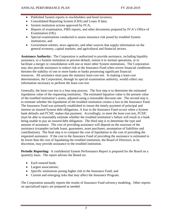- Published System reports to stockholders and bond investors;
- Consolidated Reporting System (CRS) and Loans II data;
- System institution actions approved by FCA;
- Reports of examination, FIRS reports, and other documents prepared by FCA's Office of Examination (OE);
- Special examinations conducted to assess insurance risk posed by troubled System institutions; and
- Government entities, news agencies, and other sources that supply information on the general economy, capital markets, and agricultural and financial sectors.

**Assistance Authority:** The Corporation is authorized to provide assistance, including liquidity assistance, to a System institution to prevent default, restore it to normal operations, or to facilitate a merger or consolidation with one or more other System institutions. The Corporation may also provide assistance to reduce risk to the Insurance Fund when severe financial conditions threaten the stability of one or more banks or banks possessing significant financial resources. All assistance must pass the statutory least-cost test. In making a least-cost determination, the Corporation, through its special examination authority, would collect any information necessary to perform the least-cost test.

Generally, the least-cost test is a four-step process. The first step is to determine the estimated liquidation value of the requesting institution. The estimated liquation value is the present value of the troubled institution's assets, adjusted using a reasonable discount rate. The second step is to estimate whether the liquidation of the troubled institution creates a loss to the Insurance Fund. The Insurance Fund was primarily established to insure the timely payment of principal and interest on insured System debt obligations. A loss to the Insurance Fund occurs when a System bank defaults and FCSIC makes that payment. Accordingly, to meet the least-cost test, FCSIC must be able to reasonably estimate whether the troubled institution's failure will result in a bank being unable to pay an insured debt obligation. The third step is to determine the type and amount of assistance. The cost of providing assistance will depend on the structure of the assistance (examples include loans, guarantees, asset purchases, assumption of liabilities and contributions). The final step is to compare the cost of liquidation to the cost of providing the requested assistance. If the cost to the Insurance Fund of providing the assistance is estimated to be lower than the cost of liquidating the troubled institution, the Board of Directors, in its discretion, may provide assistance to the troubled institution.

**Periodic Reporting:** A confidential System Performance Report is prepared for the Board on a quarterly basis. The report advises the Board on:

- Each insured bank;
- Largest associations;
- Specific institutions posing higher risk to the Insurance Fund; and
- Current and emerging risks that may affect the Insurance Program.

The Corporation annually reports the results of Insurance Fund solvency modeling. Other reports on specialized topics are prepared as needed.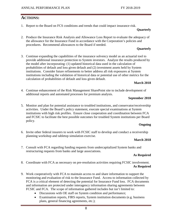# **ACTIONS:**

1. Report to the Board on FCS conditions and trends that could impact insurance risk.

## **Quarterly**

2. Produce the Insurance Risk Analysis and Allowance Loss Report to evaluate the adequacy of the allowance for the Insurance Fund in accordance with the Corporation's policies and procedures. Recommend allowances to the Board if needed.

## **Quarterly**

3. Continue expanding the capabilities of the insurance solvency model as an actuarial tool to provide additional insurance protection to System investors. Analyze the results produced by the model after incorporating: (1) updated historical data used in the calculation of probabilities of default and loss given default and (2) investment assets held by System institutions. Consider future refinements to better address all risk exposures at System institutions including the validation of historical data or potential use of other metrics for the calculation of probabilities of default and loss given default.

## **March 2018**

4. Continue enhancement of the Risk Management SharePoint site to include development of additional reports and automated processes for premium analysis.

## **September 2018**

5. Monitor and plan for potential assistance to troubled institutions, and conservator/receivership activities. Under the Board's policy statement, execute special examinations at System institutions with high risk profiles. Ensure close cooperation and coordination between FCA and FCSIC to facilitate the best possible outcomes for troubled System institutions per Board policy.

## **Ongoing**

6. Invite other federal insurers to work with FCSIC staff to develop and conduct a receivership planning workshop and tabletop simulation exercise.

## **March 2018**

7. Consult with FCA regarding funding requests from undercapitalized System banks and restructuring requests from banks and large associations.

## **As Required**

- 8. Coordinate with FCA as necessary on pre-resolution activities requiring FCSIC involvement. **As Required**
- 9. Work cooperatively with FCA to maintain access to and share information to support the monitoring and evaluation of risk to the Insurance Fund. Access to information collected by FCA is a critical element of detecting the potential for Insurance Fund loss. FCA documents and information are protected under interagency information sharing agreements between FCSIC and FCA. The scope of information gathered includes but isn't limited to:
	- Discussions with OE staff on System condition and performance;
	- Examination reports, FIRS reports, System institution documents (e.g. business plans, general financing agreements, etc.);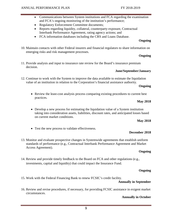- Communications between System institutions and FCA regarding the examination and FCA's ongoing monitoring of the institution's performance;
- Regulatory Enforcement Committee documents;
- Reports regarding liquidity, collateral, counterparty exposure, Contractual Interbank Performance Agreement, rating agency actions; and
- FCA information databases including the CRS and Loans Database.

10. Maintain contacts with other Federal insurers and financial regulators to share information on emerging risks and risk management processes.

#### **Ongoing**

11. Provide analysis and input to insurance rate review for the Board's insurance premium decision.

#### **June/September/January**

12. Continue to work with the System to improve the data available to estimate the liquidation value of an institution in relation to the Corporation's financial assistance authority.

#### **Ongoing**

• Review the least-cost analysis process comparing existing procedures to current best practices.

#### **May 2018**

• Develop a new process for estimating the liquidation value of a System institution taking into consideration assets, liabilities, discount rates, and anticipated losses based on current market conditions.

#### **May 2018**

• Test the new process to validate effectiveness.

#### **December 2018**

13. Monitor and evaluate prospective changes in Systemwide agreements that establish uniform standards of performance (e.g., Contractual Interbank Performance Agreement and Market Access Agreement).

#### **Ongoing**

14. Review and provide timely feedback to the Board on FCA and other regulations (e.g., investments, capital and liquidity) that could impact the Insurance Fund.

#### **Ongoing**

15. Work with the Federal Financing Bank to renew FCSIC's credit facility.

#### **Annually in September**

16. Review and revise procedures, if necessary, for providing FCSIC assistance in exigent market circumstances.

#### **Annually in October**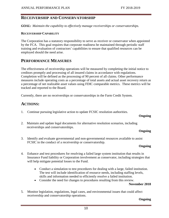# **RECEIVERSHIP AND CONSERVATORSHIP**

*GOAL: Maintain the capability to effectively manage receiverships or conservatorships.*

#### **RECEIVERSHIP CAPABILITY**

The Corporation has a statutory responsibility to serve as receiver or conservator when appointed by the FCA. This goal requires that corporate readiness be maintained through periodic staff training and evaluation of contractors' capabilities to ensure that qualified resources can be employed should the need arise.

## **PERFORMANCE MEASURES**

The effectiveness of receivership operations will be measured by completing the initial notice to creditors promptly and processing of all insured claims in accordance with regulations. Completion will be defined as the processing of 90 percent of all claims. Other performance measures include operating costs as a percentage of total assets and actual asset recovery return as a percentage of net realizable asset values using FDIC comparable metrics. These metrics will be tracked and reported to the Board.

Currently, there are no receiverships or conservatorships in the Farm Credit System.

# **ACTIONS:**

1. Continue pursuing legislative action to update FCSIC resolution authorities.

#### **Ongoing**

2. Maintain and update legal documents for alternative resolution scenarios, including receiverships and conservatorships.

#### **Ongoing**

3. Identify and evaluate governmental and non-governmental resources available to assist FCSIC in the conduct of a receivership or conservatorship.

#### **Ongoing**

- 4. Enhance and test procedures for resolving a failed large system institution that results in Insurance Fund liability or Corporation involvement as conservator, including strategies that will help mitigate potential losses to the Fund.
	- Conduct a simulation to test procedures for dealing with a large, failed institution. The test will include identification of resource needs, including staffing levels, skills and information needed to efficiently resolve a failed institution.
	- Consider the need for changes to procedures resulting from this review.

## **November 2018**

5. Monitor legislation, regulations, legal cases, and environmental issues that could affect receivership and conservatorship operations.

#### **Ongoing**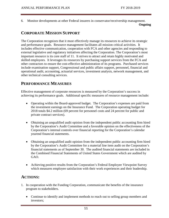6. Monitor developments at other Federal insurers in conservator/receivership management.

**Ongoing**

# **CORPORATE MISSION SUPPORT**

The Corporation recognizes that it must effectively manage its resources to achieve its strategic and performance goals. Resource management facilitates all mission critical activities. It includes effective communication, cooperation with FCA and other agencies and responding to external legislative and regulatory initiatives affecting the Corporation. The Corporation's most important resource is its core staff of 11. It strives to attract and retain highly motivated and skilled employees. It leverages its resources by purchasing support services from the FCA and other contractors to ensure the cost-effective administration of its programs. Purchased services include examination support, Congressional and public affairs support, personnel, financial and operational audit, accounting, actuarial services, investment analysis, network management, and other technical consulting services.

# **PERFORMANCE MEASURES**

Effective management of corporate resources is measured by the Corporation's success in achieving its performance goals. Additional specific measures of resource management include:

- Operating within the Board-approved budget. The Corporation's expenses are paid from the investment earnings on the Insurance Fund. The Corporation operating budget for 2018 totals \$4.2 million (69 percent for personnel costs and 24 percent for public and private contract services).
- Obtaining an unqualified audit opinion from the independent public accounting firm hired by the Corporation's Audit Committee and a favorable opinion on the effectiveness of the Corporation's internal controls over financial reporting for the Corporation's calendar yearend financial statements.
- Obtaining an unqualified audit opinion from the independent public accounting firm hired by the Corporation's Audit Committee for a material line item audit on the Corporation's financial statements as of September 30. The audited financial statements are included in the Combined Financial Statements of United States Government which are audited by GAO.
- Achieving positive results from the Corporation's Federal Employee Viewpoint Survey which measures employee satisfaction with their work experiences and their leadership.

# **ACTIONS:**

- 1. In cooperation with the Funding Corporation, communicate the benefits of the insurance program to stakeholders.
	- Continue to identify and implement methods to reach out to selling group members and investors;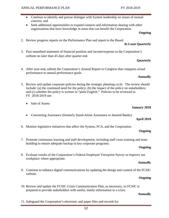- Continue to identify and pursue dialogue with System leadership on issues of mutual concern; and
- Seek additional opportunities to expand contacts and information sharing with other organizations that have knowledge in areas that can benefit the Corporation.

2. Review progress reports on the Performance Plan and report to the Board.

#### **At Least Quarterly**

3. Post unaudited statement of financial position and income/expense to the Corporation's website no later than 45 days after quarter end.

#### **Quarterly**

4. After year-end, submit the Corporation's Annual Report to Congress that compares actual performance to annual performance goals.

#### **Annually**

- 5. Review and update corporate policies during the strategic planning cycle. The review should include: (a) the continued need for the policy; (b) the impact of the policy on stakeholders; and (c) whether the policy is written in "plain English." Policies to be reviewed in FY 2018-2019 are:
	- Sale of Assets
	- Concerning Assistance (formerly Stand-Alone Assistance to Insured Banks)

#### **April 2018**

**January 2018**

6. Monitor legislative initiatives that affect the System, FCA, and the Corporation.

## **Ongoing**

7. Promote continuous learning and staff development, including staff cross-training and team building to ensure adequate backup in key corporate programs.

#### **Ongoing**

8. Evaluate results of the Corporation's Federal Employee Viewpoint Survey to improve our workplace where appropriate.

#### **Annually**

9. Continue to enhance digital communications by updating the design and content of the FCSIC website.

#### **Ongoing**

10. Review and update the FCSIC Crisis Communication Plan, as necessary, so FCSIC is prepared to provide stakeholders with useful, timely information in a crisis.

#### **Annually**

11. Safeguard the Corporation's electronic and paper files and records by: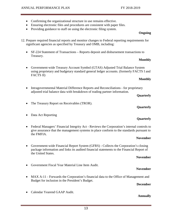- Confirming the organizational structure in use remains effective.
- Ensuring electronic files and procedures are consistent with paper files.
- Providing guidance to staff on using the electronic filing system.

- 12. Prepare required financial reports and monitor changes to Federal reporting requirements for significant agencies as specified by Treasury and OMB, including:
	- SF-224 Statement of Transactions Reports deposit and disbursement transactions to Treasury.

#### **Monthly**

• Government-wide Treasury Account Symbol (GTAS) Adjusted Trial Balance System using proprietary and budgetary standard general ledger accounts. (formerly FACTS I and FACTS II)

#### **Monthly**

• Intragovernmental Material Difference Reports and Reconciliations - for proprietary adjusted trial balance data with breakdown of trading partner information.

#### **Quarterly**

**Quarterly**

**Quarterly**

• The Treasury Report on Receivables (TROR).

## • Data Act Reporting

• Federal Managers' Financial Integrity Act - Reviews the Corporation's internal controls to give assurance that the management systems in place conform to the standards pursuant to the FMFIA.

#### **November**

• Government-wide Financial Report System (GFRS) - Collects the Corporation's closing package information and links its audited financial statements to the Financial Report of the United States.

#### **November**

**November**

- Government Fiscal Year Material Line Item Audit.
- MAX A-11 Forwards the Corporation's financial data to the Office of Management and Budget for inclusion in the President's Budget.

# **December**

• Calendar Yearend GAAP Audit.

## **Annually**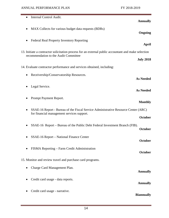÷,

| Internal Control Audit.<br><b>Annually</b>                                                                                                         |  |
|----------------------------------------------------------------------------------------------------------------------------------------------------|--|
| MAX Collects for various budget data requests (BDRs)<br>٠<br>Ongoing                                                                               |  |
| Federal Real Property Inventory Reporting<br>April                                                                                                 |  |
| 13. Initiate a contractor solicitation process for an external public accountant and make selection<br>recommendation to the Audit Committee       |  |
| <b>July 2018</b><br>14. Evaluate contractor performance and services obtained, including:                                                          |  |
| Receivership/Conservatorship Resources.<br>٠<br><b>As Needed</b>                                                                                   |  |
| Legal Service.<br><b>As Needed</b>                                                                                                                 |  |
| Prompt Payment Report.<br><b>Monthly</b>                                                                                                           |  |
| SSAE-16 Report - Bureau of the Fiscal Service Administrative Resource Center (ARC)<br>for financial management services support.<br><b>October</b> |  |
| SSAE-16 Report – Bureau of the Public Debt Federal Investment Branch (FIB).<br><b>October</b>                                                      |  |
| SSAE-16 Report - National Finance Center<br><b>October</b>                                                                                         |  |
| FISMA Reporting - Farm Credit Administration<br><b>October</b>                                                                                     |  |
| 15. Monitor and review travel and purchase card programs.                                                                                          |  |
| Charge Card Management Plan.<br><b>Annually</b>                                                                                                    |  |
| Credit card usage - data reports.<br><b>Annually</b>                                                                                               |  |
| Credit card usage - narrative.<br><b>Biannually</b>                                                                                                |  |